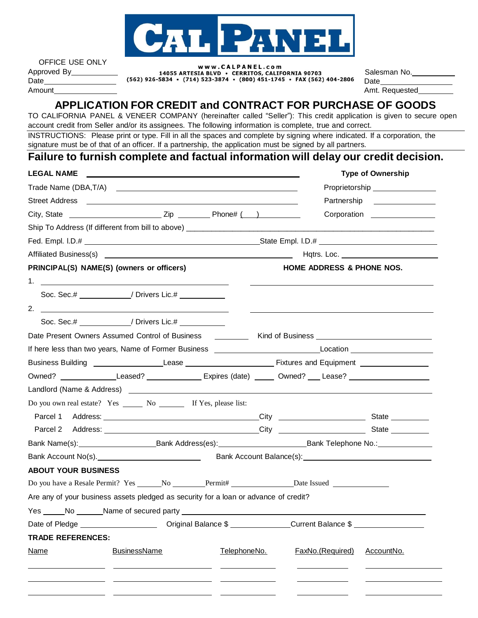

| OFFICE USE ONLY |   |
|-----------------|---|
| Approved By     |   |
| Date            | Œ |
| Amount          |   |

### www.CALPANEL.com

14055 ARTESIA BLVD . CERRITOS, CALIFORNIA 90703 562) 926-5834 • (714) 523-3874 • (800) 451-1745 • FAX (562) 404-2806

Salesman No. Date

Amt. Requested

# **APPLICATION FOR CREDIT and CONTRACT FOR PURCHASE OF GOODS**

TO CALIFORNIA PANEL & VENEER COMPANY (hereinafter called "Seller"): This credit application is given to secure open account credit from Seller and/or its assignees. The following information is complete, true and correct.

INSTRUCTIONS: Please print or type. Fill in all the spaces and complete by signing where indicated. If a corporation, the signature must be of that of an officer. If a partnership, the application must be signed by all partners.

## **Failure to furnish complete and factual information will delay our credit decision.**

| <b>LEGAL NAME</b><br><u> 1989 - Jan James James Jan James James James James James James James James James James James James James Jam</u>                                                                                            | <b>Type of Ownership</b>                                                           |
|--------------------------------------------------------------------------------------------------------------------------------------------------------------------------------------------------------------------------------------|------------------------------------------------------------------------------------|
|                                                                                                                                                                                                                                      | Proprietorship _________________                                                   |
| Street Address <b>Contract Contract Contract Contract Contract Contract Contract Contract Contract Contract Contract Contract Contract Contract Contract Contract Contract Contract Contract Contract Contract Contract Contract</b> | Partnership _______________                                                        |
|                                                                                                                                                                                                                                      |                                                                                    |
|                                                                                                                                                                                                                                      |                                                                                    |
|                                                                                                                                                                                                                                      |                                                                                    |
|                                                                                                                                                                                                                                      |                                                                                    |
| PRINCIPAL(S) NAME(S) (owners or officers)                                                                                                                                                                                            | HOME ADDRESS & PHONE NOS.                                                          |
|                                                                                                                                                                                                                                      |                                                                                    |
| Soc. Sec.# / Drivers Lic.#                                                                                                                                                                                                           |                                                                                    |
| 2. $\overline{\phantom{a}}$                                                                                                                                                                                                          |                                                                                    |
| Soc. Sec.# ___________/ Drivers Lic.# __________                                                                                                                                                                                     |                                                                                    |
| Date Present Owners Assumed Control of Business [18] [2012] Kind of Business [18] [2013] [2013] [2014] [2014] [                                                                                                                      |                                                                                    |
|                                                                                                                                                                                                                                      |                                                                                    |
|                                                                                                                                                                                                                                      |                                                                                    |
| Owned? _______________Leased? ________________Expires (date) ______ Owned? ___Lease? _____________________                                                                                                                           |                                                                                    |
|                                                                                                                                                                                                                                      |                                                                                    |
| Do you own real estate? Yes ________ No ___________ If Yes, please list:                                                                                                                                                             |                                                                                    |
|                                                                                                                                                                                                                                      |                                                                                    |
|                                                                                                                                                                                                                                      |                                                                                    |
|                                                                                                                                                                                                                                      |                                                                                    |
|                                                                                                                                                                                                                                      |                                                                                    |
| <b>ABOUT YOUR BUSINESS</b>                                                                                                                                                                                                           |                                                                                    |
| Do you have a Resale Permit? Yes _______No _________Permit# _________________Date Issued ____________________                                                                                                                        |                                                                                    |
| Are any of your business assets pledged as security for a loan or advance of credit?                                                                                                                                                 |                                                                                    |
|                                                                                                                                                                                                                                      |                                                                                    |
|                                                                                                                                                                                                                                      | Original Balance \$ ________________Current Balance \$ ___________________________ |
| <b>TRADE REFERENCES:</b>                                                                                                                                                                                                             |                                                                                    |
|                                                                                                                                                                                                                                      |                                                                                    |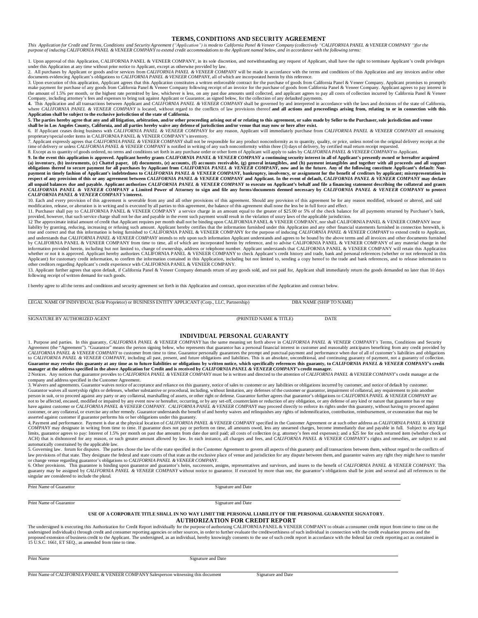#### **TERMS, CONDITIONS AND SECURITY AGREEMENT**

This Application for Credit and Terms, Conditions and Security Agreement ("Application") is mode to California Panel & Veneer Company (collectively "CALIFORNIA PANEL & VENEER COMPANY ")for the purpose of inducing CALIFORNIA PANEL & VENEER COMPANY to extend credit accommodations to the Applicant named below, and in accordance with the following terms:

1. Upon approval of this Application, CALIFORNIA PANEL & VENEER COMPANY, in its sole discretion, and notwithstanding any request of Applicant, shall have the right to terminate Applicant's credit privileges

under this Application at any time without prior notice to Applicant, except as otherwise provided by law.<br>2. All purchases by Applicant or goods and/or services from CALIFORNIA PANE & VENEER COMPANY will be made in accord

3. Upon execution of this application, Applicant agrees that this Application constitutes a written enforceable contract for the purchase of goods from California Panel & Veneer Company. Applicant promises to promptly make payment for purchase of any goods from California Panel & Veneer Company following receipt of an invoice for the purchase of goods from California Panel & Veneer Company. Applicant agrees to pay interest in<br>the amount

Company, including attorney's fees and expenses to bring suit against Applicant or Guarantor, as signed below, for the collection of any defaulted payments.<br>4. This Application and all transactions between Applicant and CA **Application shall be subject to the exclusive jurisdiction of the state of California.**

5. The parties hereby agree that any and all litigation, arbitration, and/or other proceeding arising out of or relating to this agreement, or sales made by Seller to the Purchaser, sole jurisdiction and venue<br>shall be in

proprietary/special order items in CALIFORNIA PANEL & VENEER COMPANY's inventory.

7. Applicant expressly agrees that CALIFORNIA PANEL & VENEER COMPANY shall not be responsible for any product nonconformity as to quantity, quality, or price, unless noted on the original delivery receipt at the<br>time of de

8. Except as to quantiy of goods ordered, no terms and conditions set forth in any purchase order or other form of Applicant will apply to sales by *CALIFORNIA PANEL & VENEER COMPANY* to Applicant.<br>9. In the event this app respect of any provision of this or any agreement between CALIFORNIA PANEL & VENEER COMPANY and Applicant. In the event of default, CALIFORNIA PANEL & VENEER COMPANY may declare all unpaid balances due and payable. Applicant authorizes CALIFORNIA PANEL & VENEER COMPANY to execute on Applicant's behalf and file a financing statement describing the collateral and grants<br>CALIFORNIA PANEL & VENEER COM

CALIFORNIA PANEL & VENEER COMPANY's interest.<br>10. Each and every provision of this agreement is severable from any and all other provisions of this agreement. Should any provision of this agreement be for any reason modifi modification, release, or alteration is in writing and is executed by all parties to this agreement, the balance of this agreement shall none the less be in full force and effect.

11. Purchaser shall pay to CALIFORNIA PANEL & VENEER COMPANY a service charge in an amount equal to the greater of \$25.00 or 5% of the check balance for all payments returned by Purchaser's bank,<br>provided, however, that su

liability by granting, reducing, increasing or refusing such amount. Applicant hereby certifies that the information furnished under this Application and any other financial statements furnished in connection herewith, is<br> and understands that CALIFORNIA PANEL & VENEER COMPANY intends to rely upon such information Applicant understands and agrees to be bound by the above terms and all invoices and other documents furnished by CALIFORNIA PANEL & VENEER COMPANY from time to time, all of which are incorporated herein by reference, and to advise CALIFORNIA PANEL & VENEER COMPANY of any material change in the information provided herein, including but not limited to, change of ownership, address or telephone number. Applicant understands that CALIFORNIA PANEL & VENEER COMPANY will retain this Application<br>whether or not it is ap

Applicant) for customary credit information, to confirm the information contained in this Application, including but not limited to, sending a copy hereof to the trade and bank references, and to release information to<br>oth following receipt of written demand for such goods.

I hereby agree to all the terms and conditions and security agreement set forth in this Application and contract, upon execution of the Application and contract below.

LEGAL NAME OF INDIVIDUAL (Sole Proprietor) or BUSINESS ENTITY APPLICANT (Corp., LLC, Partnership) DBA NAME (SHIP TO NAME)

SIGNATURE BY AUTHORIZED AGENT (PRINTED NAME & TITLE) DATE

#### **INDIVIDUAL PERSONAL GUARANTY**

1. Purpose and parties. In this guaranty, CALIFORNIA PANEL & VENEER COMPANY has the same meaning set forth above in CALIFORNIA PANEL & VENEER COMPANY's Terms, Conditions and Security<br>Agreement (the "Agreement"). "Guarantor CALIFORNIA PANEL & VENEER COMPANY to customer from time to time. Guarantor personally guarantees the prompt and punctual payment and performance when due of all of customer's liabilities and obligations to CALIFORNIA PANEL

2 Notices. Any notices that guarantor provides to CALIFORNIA PANEL & VENEER COMPANY must be is written and directed to the attention of CALIFORNIA PANEL & VENEER COMPANY's credit manager at the company and address specified in the Customer Agreement.

Surfaces and agreements. Guarantor waives notice of acceptance and reliance on this guaranty, notice of sales to customer or any liabilities or obligations incurred by customer, and notice of default by customer. Guarantor waives all suretyship rights or defenses, whether substantive or procedural, including, without limitation, any defenses of the customer or guarantor, impairment of collateral, any requirement to join another<br>per not to be affected, encased, modified or impaired by any event now or hereafter, occurring, or by any set-off, counterclaim or reduction of any obligation, or any defense of any kind or nature that guarantor has or may<br>hav customer, or any collateral, or exercise any other remedy. Guarantor understands the benefit of and hereby waives and relinquishes any rights of indemnification, contribution, reimbursement, or exoneration that may be

asserted against customer if guarantor performs his or her obligations under this guaranty.<br>4, Payment and performance. Payment is due at the physical location of CALIFORNIA PANEL & VENEER COMPANY specified in the Customer COMPANY may designate in writing from time to time. If guarantor does not pay or perform on time, all amounts owed, less any unearned charges, become immediately due and payable in full. Subject to any legal<br>limits, guaran ACH) that is dishonored for any reason, or such greater amount allowed by law. In each instance, all charges and fees, and CALIFORNIA PANEL & VENEER COMPANY's rights and remedies, are subject to and

automatically constrained by the applicable law.<br>S. Governing law. forum for disputes. The parties chose the law of the state specified in the Customer Agreement to govern all aspects of this guaranty and all transactions

6. Other provisions. This guarantee is binding upon guarantor and guarantor's heirs, successors, assigns, representatives and survivors, and inures to the benefit of *CALIFORNIA PANEL & VENEER COMPANY*. This guaranty may b

Print Name of Guarantor Signature and Date

Print Name of Guarantor Signature and Date

#### **USE OF A CORPORATE TITLE SHALL IN NO WAY LIMIT THE PERSONAL LIABILITY OF THE PERSONAL GUARANTEE SIGNATORY.**

#### **AUTHORIZATION FOR CREDIT REPORT**

The undersigned is executing this Authorization for Credit Report individually for the purpose of authorizing CALIFORNIA PANEL & VENEER COMPANY to obtain a consumer credit report from time to time on the undersigned indivi

Print Name Signature and Date